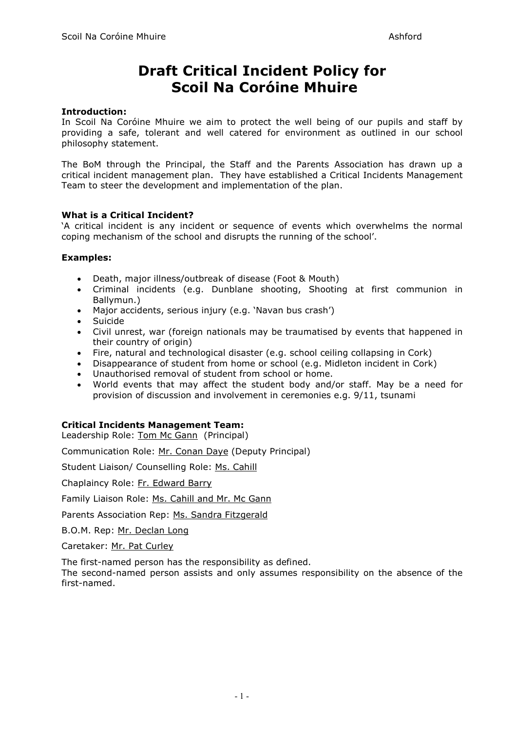# **Draft Critical Incident Policy for Scoil Na Coróine Mhuire**

## **Introduction:**

In Scoil Na Coróine Mhuire we aim to protect the well being of our pupils and staff by providing a safe, tolerant and well catered for environment as outlined in our school philosophy statement.

The BoM through the Principal, the Staff and the Parents Association has drawn up a critical incident management plan. They have established a Critical Incidents Management Team to steer the development and implementation of the plan.

## **What is a Critical Incident?**

'A critical incident is any incident or sequence of events which overwhelms the normal coping mechanism of the school and disrupts the running of the school'.

## **Examples:**

- Death, major illness/outbreak of disease (Foot & Mouth)
- Criminal incidents (e.g. Dunblane shooting, Shooting at first communion in Ballymun.)
- Major accidents, serious injury (e.g. 'Navan bus crash')
- Suicide
- Civil unrest, war (foreign nationals may be traumatised by events that happened in their country of origin)
- Fire, natural and technological disaster (e.g. school ceiling collapsing in Cork)
- Disappearance of student from home or school (e.g. Midleton incident in Cork)
- Unauthorised removal of student from school or home.
- World events that may affect the student body and/or staff. May be a need for provision of discussion and involvement in ceremonies e.g. 9/11, tsunami

## **Critical Incidents Management Team:**

Leadership Role: Tom Mc Gann (Principal)

Communication Role: Mr. Conan Daye (Deputy Principal)

Student Liaison/ Counselling Role: Ms. Cahill

Chaplaincy Role: Fr. Edward Barry

Family Liaison Role: Ms. Cahill and Mr. Mc Gann

Parents Association Rep: Ms. Sandra Fitzgerald

B.O.M. Rep: Mr. Declan Long

Caretaker: Mr. Pat Curley

The first-named person has the responsibility as defined.

The second-named person assists and only assumes responsibility on the absence of the first-named.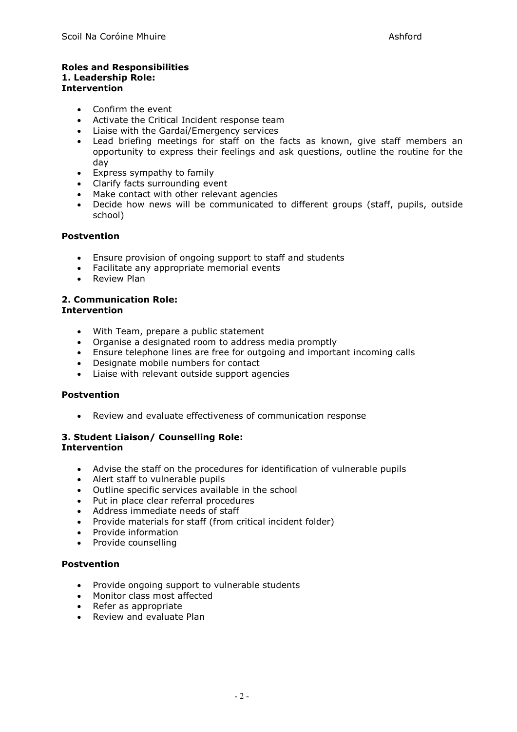## **Roles and Responsibilities 1. Leadership Role: Intervention**

- Confirm the event
- Activate the Critical Incident response team
- Liaise with the Gardaí/Emergency services
- Lead briefing meetings for staff on the facts as known, give staff members an opportunity to express their feelings and ask questions, outline the routine for the day
- Express sympathy to family
- Clarify facts surrounding event
- Make contact with other relevant agencies
- Decide how news will be communicated to different groups (staff, pupils, outside school)

## **Postvention**

- Ensure provision of ongoing support to staff and students
- Facilitate any appropriate memorial events
- Review Plan

#### **2. Communication Role: Intervention**

- With Team, prepare a public statement
- Organise a designated room to address media promptly
- Ensure telephone lines are free for outgoing and important incoming calls
- Designate mobile numbers for contact
- Liaise with relevant outside support agencies

## **Postvention**

• Review and evaluate effectiveness of communication response

## **3. Student Liaison/ Counselling Role: Intervention**

- Advise the staff on the procedures for identification of vulnerable pupils
- Alert staff to vulnerable pupils
- Outline specific services available in the school
- Put in place clear referral procedures
- Address immediate needs of staff
- Provide materials for staff (from critical incident folder)
- Provide information
- Provide counselling

## **Postvention**

- Provide ongoing support to vulnerable students
- Monitor class most affected
- Refer as appropriate
- Review and evaluate Plan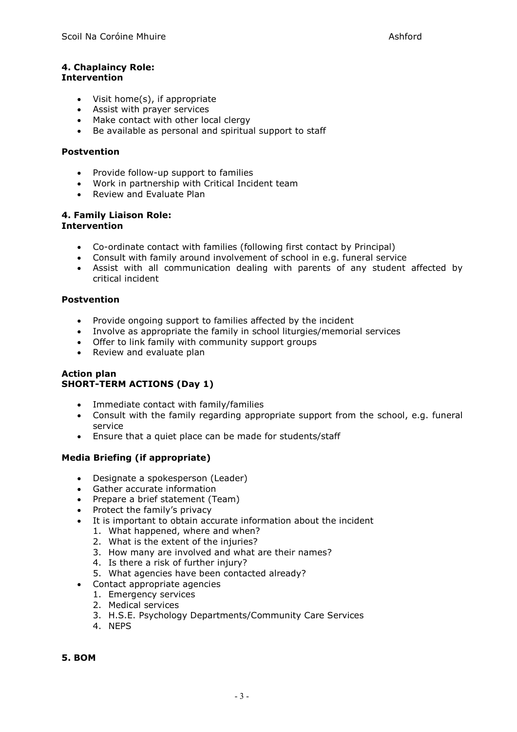## **4. Chaplaincy Role: Intervention**

- Visit home(s), if appropriate
- Assist with prayer services
- Make contact with other local clergy
- Be available as personal and spiritual support to staff

## **Postvention**

- Provide follow-up support to families
- Work in partnership with Critical Incident team
- Review and Evaluate Plan

#### **4. Family Liaison Role: Intervention**

- Co-ordinate contact with families (following first contact by Principal)
- Consult with family around involvement of school in e.g. funeral service
- Assist with all communication dealing with parents of any student affected by critical incident

## **Postvention**

- Provide ongoing support to families affected by the incident
- Involve as appropriate the family in school liturgies/memorial services
- Offer to link family with community support groups
- Review and evaluate plan

## **Action plan SHORT-TERM ACTIONS (Day 1)**

- Immediate contact with family/families
- Consult with the family regarding appropriate support from the school, e.g. funeral service
- Ensure that a quiet place can be made for students/staff

## **Media Briefing (if appropriate)**

- Designate a spokesperson (Leader)
- Gather accurate information
- Prepare a brief statement (Team)
- Protect the family's privacy
- It is important to obtain accurate information about the incident
	- 1. What happened, where and when?
	- 2. What is the extent of the injuries?
	- 3. How many are involved and what are their names?
	- 4. Is there a risk of further injury?
	- 5. What agencies have been contacted already?
- Contact appropriate agencies
	- 1. Emergency services
	- 2. Medical services
	- 3. H.S.E. Psychology Departments/Community Care Services
	- 4. NEPS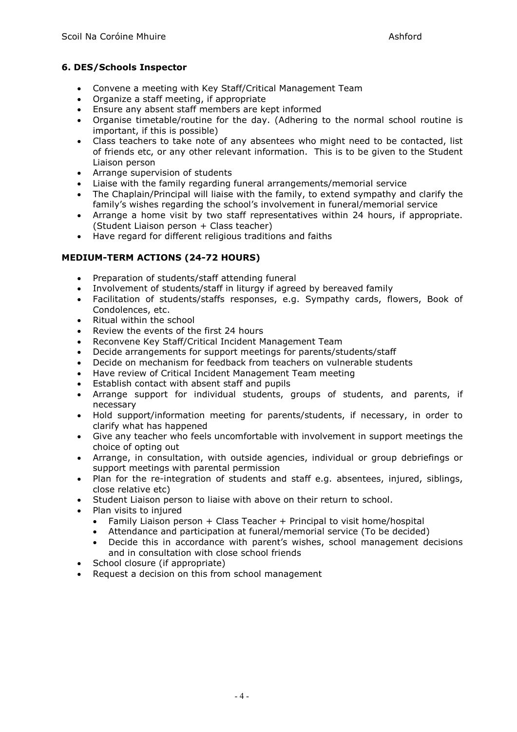# **6. DES/Schools Inspector**

- Convene a meeting with Key Staff/Critical Management Team
- Organize a staff meeting, if appropriate
- Ensure any absent staff members are kept informed
- Organise timetable/routine for the day. (Adhering to the normal school routine is important, if this is possible)
- Class teachers to take note of any absentees who might need to be contacted, list of friends etc, or any other relevant information. This is to be given to the Student Liaison person
- Arrange supervision of students
- Liaise with the family regarding funeral arrangements/memorial service
- The Chaplain/Principal will liaise with the family, to extend sympathy and clarify the family's wishes regarding the school's involvement in funeral/memorial service
- Arrange a home visit by two staff representatives within 24 hours, if appropriate. (Student Liaison person + Class teacher)
- Have regard for different religious traditions and faiths

# **MEDIUM-TERM ACTIONS (24-72 HOURS)**

- Preparation of students/staff attending funeral
- Involvement of students/staff in liturgy if agreed by bereaved family
- Facilitation of students/staffs responses, e.g. Sympathy cards, flowers, Book of Condolences, etc.
- Ritual within the school
- Review the events of the first 24 hours
- Reconvene Key Staff/Critical Incident Management Team
- Decide arrangements for support meetings for parents/students/staff
- Decide on mechanism for feedback from teachers on vulnerable students
- Have review of Critical Incident Management Team meeting
- Establish contact with absent staff and pupils
- Arrange support for individual students, groups of students, and parents, if necessary
- Hold support/information meeting for parents/students, if necessary, in order to clarify what has happened
- Give any teacher who feels uncomfortable with involvement in support meetings the choice of opting out
- Arrange, in consultation, with outside agencies, individual or group debriefings or support meetings with parental permission
- Plan for the re-integration of students and staff e.g. absentees, injured, siblings, close relative etc)
- Student Liaison person to liaise with above on their return to school.
- Plan visits to injured
	- Family Liaison person  $+$  Class Teacher  $+$  Principal to visit home/hospital
	- Attendance and participation at funeral/memorial service (To be decided)
	- Decide this in accordance with parent's wishes, school management decisions and in consultation with close school friends
- School closure (if appropriate)
- Request a decision on this from school management